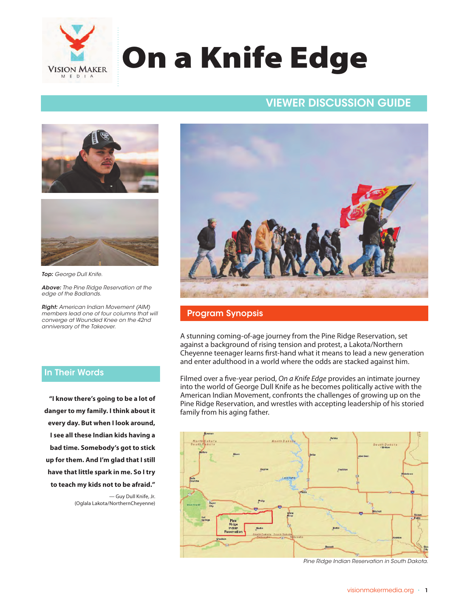

# On a Knife Edge

## VIEWER DISCUSSION GUIDE VIEWER DISCUSSION GUIDE





*Top: George Dull Knife.*

*Above: The Pine Ridge Reservation at the edge of the Badlands.* 

*Right: American Indian Movement (AIM) members lead one of four columns that will converge at Wounded Knee on the 42nd anniversary of the Takeover.* 

### In Their Words

**"I know there's going to be a lot of danger to my family. I think about it every day. But when I look around, I see all these Indian kids having a bad time. Somebody's got to stick up for them. And I'm glad that I still have that little spark in me. So I try to teach my kids not to be afraid."** 

> — Guy Dull Knife, Jr. (Oglala Lakota/NorthernCheyenne)



### Program Synopsis

A stunning coming-of-age journey from the Pine Ridge Reservation, set against a background of rising tension and protest, a Lakota/Northern Cheyenne teenager learns first-hand what it means to lead a new generation and enter adulthood in a world where the odds are stacked against him.

Filmed over a five-year period, *On a Knife Edge* provides an intimate journey into the world of George Dull Knife as he becomes politically active with the American Indian Movement, confronts the challenges of growing up on the Pine Ridge Reservation, and wrestles with accepting leadership of his storied family from his aging father.



*Pine Ridge Indian Reservation in South Dakota.*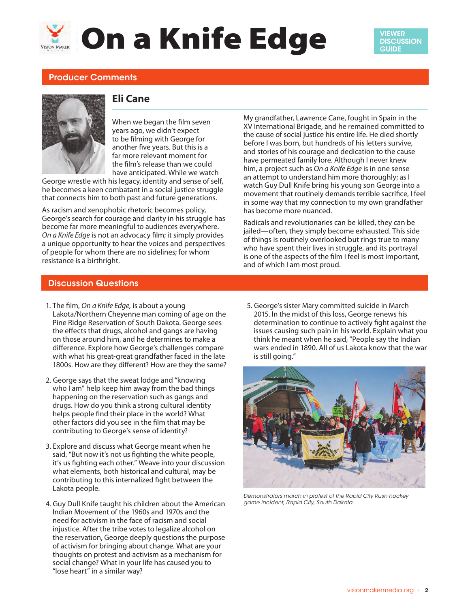# **Solution a Knife Edge**

## Producer Comments



## **Eli Cane**

When we began the film seven years ago, we didn't expect to be filming with George for another five years. But this is a far more relevant moment for the film's release than we could have anticipated. While we watch

George wrestle with his legacy, identity and sense of self, he becomes a keen combatant in a social justice struggle that connects him to both past and future generations.

As racism and xenophobic rhetoric becomes policy, George's search for courage and clarity in his struggle has become far more meaningful to audiences everywhere. *On a Knife Edge* is not an advocacy film; it simply provides a unique opportunity to hear the voices and perspectives of people for whom there are no sidelines; for whom resistance is a birthright.

My grandfather, Lawrence Cane, fought in Spain in the XV International Brigade, and he remained committed to the cause of social justice his entire life. He died shortly before I was born, but hundreds of his letters survive, and stories of his courage and dedication to the cause have permeated family lore. Although I never knew him, a project such as *On a Knife Edge* is in one sense an attempt to understand him more thoroughly; as I watch Guy Dull Knife bring his young son George into a movement that routinely demands terrible sacrifice, I feel in some way that my connection to my own grandfather has become more nuanced.

Radicals and revolutionaries can be killed, they can be jailed—often, they simply become exhausted. This side of things is routinely overlooked but rings true to many who have spent their lives in struggle, and its portrayal is one of the aspects of the film I feel is most important, and of which I am most proud.

### Discussion Questions

- 1. The film, *On a Knife Edge,* is about a young Lakota/Northern Cheyenne man coming of age on the Pine Ridge Reservation of South Dakota. George sees the effects that drugs, alcohol and gangs are having on those around him, and he determines to make a difference. Explore how George's challenges compare with what his great-great grandfather faced in the late 1800s. How are they different? How are they the same?
- 2. George says that the sweat lodge and "knowing who I am" help keep him away from the bad things happening on the reservation such as gangs and drugs. How do you think a strong cultural identity helps people find their place in the world? What other factors did you see in the film that may be contributing to George's sense of identity?
- 3. Explore and discuss what George meant when he said, "But now it's not us fighting the white people, it's us fighting each other." Weave into your discussion what elements, both historical and cultural, may be contributing to this internalized fight between the Lakota people.
- 4. Guy Dull Knife taught his children about the American Indian Movement of the 1960s and 1970s and the need for activism in the face of racism and social injustice. After the tribe votes to legalize alcohol on the reservation, George deeply questions the purpose of activism for bringing about change. What are your thoughts on protest and activism as a mechanism for social change? What in your life has caused you to "lose heart" in a similar way?

5. George's sister Mary committed suicide in March 2015. In the midst of this loss, George renews his determination to continue to actively fight against the issues causing such pain in his world. Explain what you think he meant when he said, "People say the Indian wars ended in 1890. All of us Lakota know that the war is still going."



*Demonstrators march in protest of the Rapid City Rush hockey game incident, Rapid City, South Dakota.*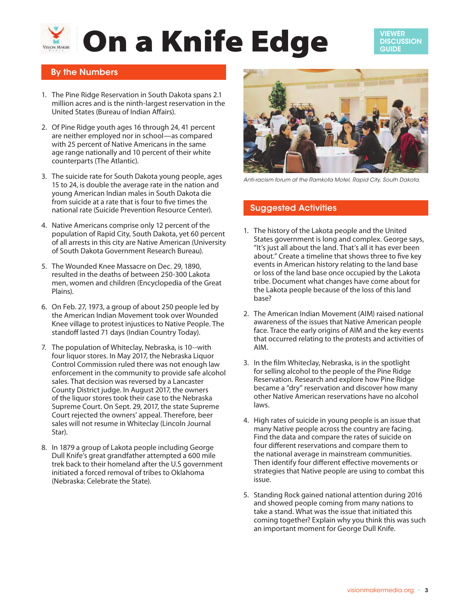# **Solution a Knife Edge**

VIEWER **DISCUSSION GUIDE** 

## By the Numbers

- 1. The Pine Ridge Reservation in South Dakota spans 2.1 million acres and is the ninth-largest reservation in the United States (Bureau of Indian Affairs).
- 2. Of Pine Ridge youth ages 16 through 24, 41 percent are neither employed nor in school—as compared with 25 percent of Native Americans in the same age range nationally and 10 percent of their white counterparts (The Atlantic).
- 3. The suicide rate for South Dakota young people, ages 15 to 24, is double the average rate in the nation and young American Indian males in South Dakota die from suicide at a rate that is four to five times the national rate (Suicide Prevention Resource Center).
- 4. Native Americans comprise only 12 percent of the population of Rapid City, South Dakota, yet 60 percent of all arrests in this city are Native American (University of South Dakota Government Research Bureau).
- 5. The Wounded Knee Massacre on Dec. 29, 1890, resulted in the deaths of between 250-300 Lakota men, women and children (Encyclopedia of the Great Plains).
- 6. On Feb. 27, 1973, a group of about 250 people led by the American Indian Movement took over Wounded Knee village to protest injustices to Native People. The standoff lasted 71 days (Indian Country Today).
- 7. The population of Whiteclay, Nebraska, is 10--with four liquor stores. In May 2017, the Nebraska Liquor Control Commission ruled there was not enough law enforcement in the community to provide safe alcohol sales. That decision was reversed by a Lancaster County District judge. In August 2017, the owners of the liquor stores took their case to the Nebraska Supreme Court. On Sept. 29, 2017, the state Supreme Court rejected the owners' appeal. Therefore, beer sales will not resume in Whiteclay (Lincoln Journal Star).
- 8. In 1879 a group of Lakota people including George Dull Knife's great grandfather attempted a 600 mile trek back to their homeland after the U.S government initiated a forced removal of tribes to Oklahoma (Nebraska: Celebrate the State).



*Anti-racism forum at the Ramkota Motel, Rapid City, South Dakota.*

### Suggested Activities

- 1. The history of the Lakota people and the United States government is long and complex. George says, "It's just all about the land. That's all it has ever been about." Create a timeline that shows three to five key events in American history relating to the land base or loss of the land base once occupied by the Lakota tribe. Document what changes have come about for the Lakota people because of the loss of this land base?
- 2. The American Indian Movement (AIM) raised national awareness of the issues that Native American people face. Trace the early origins of AIM and the key events that occurred relating to the protests and activities of AIM.
- 3. In the film Whiteclay, Nebraska, is in the spotlight for selling alcohol to the people of the Pine Ridge Reservation. Research and explore how Pine Ridge became a "dry" reservation and discover how many other Native American reservations have no alcohol laws.
- 4. High rates of suicide in young people is an issue that many Native people across the country are facing. Find the data and compare the rates of suicide on four different reservations and compare them to the national average in mainstream communities. Then identify four different effective movements or strategies that Native people are using to combat this issue.
- 5. Standing Rock gained national attention during 2016 and showed people coming from many nations to take a stand. What was the issue that initiated this coming together? Explain why you think this was such an important moment for George Dull Knife.